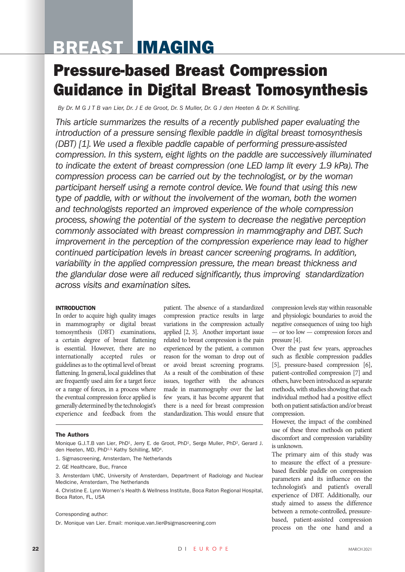# BREAST IMAGING

## Pressure-based Breast Compression Guidance in Digital Breast Tomosynthesis

*By Dr. M G J T B van Lier, Dr. J E de Groot, Dr. S Muller, Dr. G J den Heeten & Dr. K Schilling.* 

*This article summarizes the results of a recently published paper evaluating the introduction of a pressure sensing flexible paddle in digital breast tomosynthesis (DBT) [1]. We used a flexible paddle capable of performing pressure-assisted compression. In this system, eight lights on the paddle are successively illuminated to indicate the extent of breast compression (one LED lamp lit every 1.9 kPa). The compression process can be carried out by the technologist, or by the woman participant herself using a remote control device. We found that using this new type of paddle, with or without the involvement of the woman, both the women and technologists reported an improved experience of the whole compression process, showing the potential of the system to decrease the negative perception commonly associated with breast compression in mammography and DBT. Such improvement in the perception of the compression experience may lead to higher continued participation levels in breast cancer screening programs. In addition, variability in the applied compression pressure, the mean breast thickness and the glandular dose were all reduced significantly, thus improving standardization across visits and examination sites.* 

## INTRODUCTION

In order to acquire high quality images in mammography or digital breast tomosynthesis (DBT) examinations, a certain degree of breast flattening is essential. However, there are no internationally accepted rules or guidelines as to the optimal level of breast flattening. In general, local guidelines that are frequently used aim for a target force or a range of forces, in a process where the eventual compression force applied is generally determined by the technologist's experience and feedback from the patient. The absence of a standardized compression practice results in large variations in the compression actually applied [2, 3]. Another important issue related to breast compression is the pain experienced by the patient, a common reason for the woman to drop out of or avoid breast screening programs. As a result of the combination of these issues, together with the advances made in mammography over the last few years, it has become apparent that there is a need for breast compression standardization. This would ensure that compression levels stay within reasonable and physiologic boundaries to avoid the negative consequences of using too high — or too low — compression forces and pressure [4].

Over the past few years, approaches such as flexible compression paddles [5], pressure-based compression [6], patient-controlled compression [7] and others, have been introduced as separate methods, with studies showing that each individual method had a positive effect both on patient satisfaction and/or breast compression.

However, the impact of the combined use of these three methods on patient discomfort and compression variability is unknown.

The primary aim of this study was to measure the effect of a pressurebased flexible paddle on compression parameters and its influence on the technologist's and patient's overall experience of DBT. Additionally, our study aimed to assess the difference between a remote-controlled, pressurebased, patient-assisted compression process on the one hand and a

#### The Authors

Monique G.J.T.B van Lier, PhD<sup>1</sup>, Jerry E. de Groot, PhD<sup>1</sup>, Serge Muller, PhD<sup>2</sup>, Gerard J. den Heeten, MD, PhD<sup>1,3,</sup> Kathy Schilling, MD<sup>4</sup>.

- 1. Sigmascreening, Amsterdam, The Netherlands
- 2. GE Healthcare, Buc, France
- 3. Amsterdam UMC, University of Amsterdam, Department of Radiology and Nuclear Medicine, Amsterdam, The Netherlands

4. Christine E. Lynn Women's Health & Wellness Institute, Boca Raton Regional Hospital, Boca Raton, FL, USA

#### Corresponding author:

Dr. Monique van Lier. Email: monique.van.lier@sigmascreening.com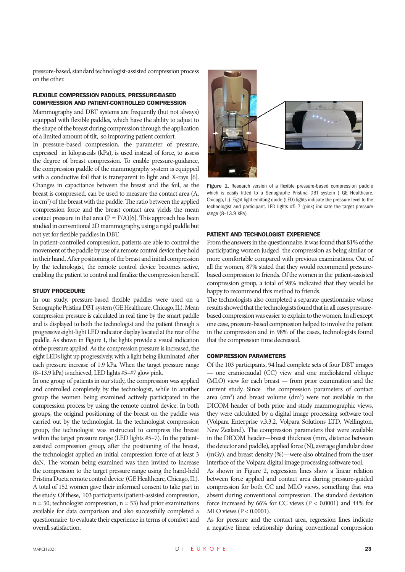pressure-based, standard technologist-assisted compression process on the other.

### FLEXIBLE COMPRESSION PADDLES, PRESSURE-BASED COMPRESSION AND PATIENT-CONTROLLED COMPRESSION

Mammography and DBT systems are frequently (but not always) equipped with flexible paddles, which have the ability to adjust to the shape of the breast during compression through the application of a limited amount of tilt, so improving patient comfort.

In pressure-based compression, the parameter of pressure, expressed in kilopascals (kPa), is used instead of force, to assess the degree of breast compression. To enable pressure-guidance, the compression paddle of the mammography system is equipped with a conductive foil that is transparent to light and X-rays [6]. Changes in capacitance between the breast and the foil, as the breast is compressed, can be used to measure the contact area (A, in cm2 ) of the breast with the paddle. The ratio between the applied compression force and the breast contact area yields the mean contact pressure in that area  $(P = F/A)[6]$ . This approach has been studied in conventional 2D mammography, using a rigid paddle but not yet for flexible paddles in DBT.

In patient-controlled compression, patients are able to control the movement of the paddle by use of a remote control device they hold in their hand. After positioning of the breast and initial compression by the technologist, the remote control device becomes active, enabling the patient to control and finalize the compression herself.

#### STUDY PROCEDURE

In our study, pressure-based flexible paddles were used on a Senographe Pristina DBT system (GE Healthcare, Chicago, IL). Mean compression pressure is calculated in real time by the smart paddle and is displayed to both the technologist and the patient through a progressive eight-light LED indicator display located at the rear of the paddle. As shown in Figure 1, the lights provide a visual indication of the pressure applied. As the compression pressure is increased, the eight LEDs light up progressively, with a light being illuminated after each pressure increase of 1.9 kPa. When the target pressure range (8–13.9 kPa) is achieved, LED lights #5–#7 glow pink.

In one group of patients in our study, the compression was applied and controlled completely by the technologist, while in another group the women being examined actively participated in the compression process by using the remote control device. In both groups, the original positioning of the breast on the paddle was carried out by the technologist. In the technologist compression group, the technologist was instructed to compress the breast within the target pressure range (LED lights #5–7). In the patientassisted compression group, after the positioning of the breast, the technologist applied an initial compression force of at least 3 daN. The woman being examined was then invited to increase the compression to the target pressure range using the hand-held Pristina Dueta remote control device (GE Healthcare, Chicago, IL). A total of 152 women gave their informed consent to take part in the study. Of these, 103 participants (patient-assisted compression,  $n = 50$ ; technologist compression,  $n = 53$ ) had prior examinations available for data comparison and also successfully completed a questionnaire to evaluate their experience in terms of comfort and overall satisfaction.



Figure 1. Research version of a flexible pressure-based compression paddle which is easily fitted to a Senographe Pristina DBT system ( GE Healthcare, Chicago, IL). Eight light emitting diode (LED) lights indicate the pressure level to the technologist and participant. LED lights #5–7 (pink) indicate the target pressure range (8–13.9 kPa)

#### PATIENT AND TECHNOLOGIST EXPERIENCE

From the answers in the questionnaire, it was found that 81% of the participating women judged the compression as being similar or more comfortable compared with previous examinations. Out of all the women, 87% stated that they would recommend pressurebased compression to friends. Of the women in the patient-assisted compression group, a total of 98% indicated that they would be happy to recommend this method to friends.

The technologists also completed a separate questionnaire whose results showed that the technologists found that in all cases pressurebased compression was easier to explain to the women. In all except one case, pressure-based compression helped to involve the patient in the compression and in 98% of the cases, technologists found that the compression time decreased.

#### COMPRESSION PARAMETERS

Of the 103 participants, 94 had complete sets of four DBT images — one craniocaudal (CC) view and one mediolateral oblique (MLO) view for each breast — from prior examination and the current study. Since the compression parameters of contact area (cm<sup>2</sup>) and breast volume (dm<sup>3</sup>) were not available in the DICOM header of both prior and study mammographic views, they were calculated by a digital image processing software tool (Volpara Enterprise v.3.3.2, Volpara Solutions LTD, Wellington, New Zealand). The compression parameters that were available in the DICOM header—breast thickness (mm, distance between the detector and paddle), applied force (N), average glandular dose (mGy), and breast density (%)—were also obtained from the user interface of the Volpara digital image processing software tool.

As shown in Figure 2, regression lines show a linear relation between force applied and contact area during pressure-guided compression for both CC and MLO views, something that was absent during conventional compression. The standard deviation force increased by 66% for CC views  $(P < 0.0001)$  and 44% for MLO views (P < 0.0001).

As for pressure and the contact area, regression lines indicate a negative linear relationship during conventional compression